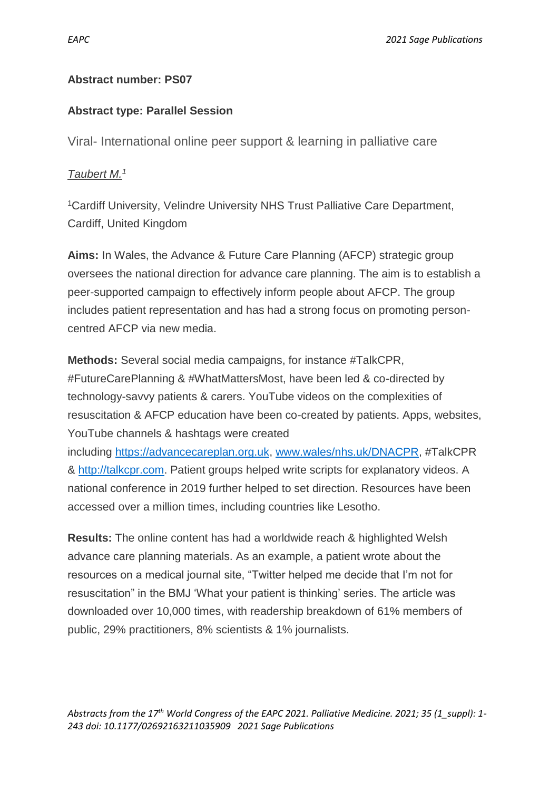## **Abstract number: PS07**

## **Abstract type: Parallel Session**

Viral- International online peer support & learning in palliative care

## *Taubert M.<sup>1</sup>*

<sup>1</sup>Cardiff University, Velindre University NHS Trust Palliative Care Department, Cardiff, United Kingdom

**Aims:** In Wales, the Advance & Future Care Planning (AFCP) strategic group oversees the national direction for advance care planning. The aim is to establish a peer-supported campaign to effectively inform people about AFCP. The group includes patient representation and has had a strong focus on promoting personcentred AFCP via new media.

**Methods:** Several social media campaigns, for instance #TalkCPR, #FutureCarePlanning & #WhatMattersMost, have been led & co-directed by technology-savvy patients & carers. YouTube videos on the complexities of resuscitation & AFCP education have been co-created by patients. Apps, websites, YouTube channels & hashtags were created including [https://advancecareplan.org.uk,](https://advancecareplan.org.uk/) [www.wales/nhs.uk/DNACPR,](http://www.wales/nhs.uk/DNACPR) #TalkCPR & [http://talkcpr.com.](http://talkcpr.com/) Patient groups helped write scripts for explanatory videos. A national conference in 2019 further helped to set direction. Resources have been accessed over a million times, including countries like Lesotho.

**Results:** The online content has had a worldwide reach & highlighted Welsh advance care planning materials. As an example, a patient wrote about the resources on a medical journal site, "Twitter helped me decide that I'm not for resuscitation" in the BMJ 'What your patient is thinking' series. The article was downloaded over 10,000 times, with readership breakdown of 61% members of public, 29% practitioners, 8% scientists & 1% journalists.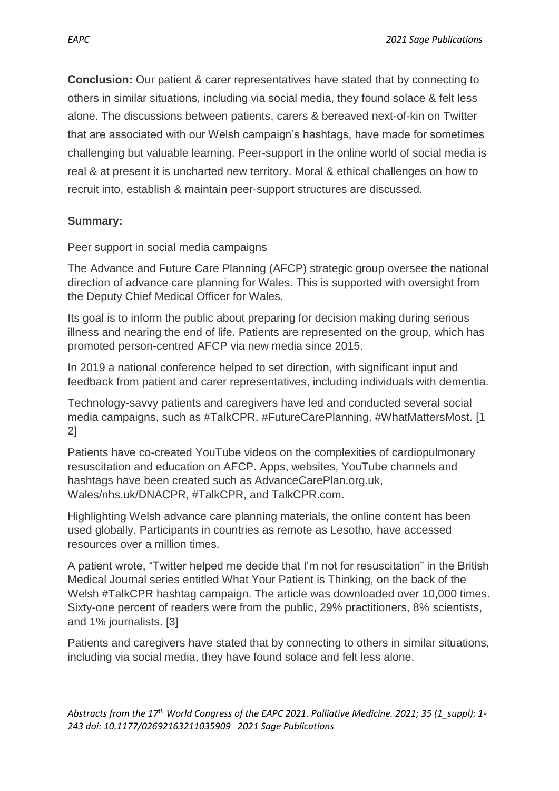**Conclusion:** Our patient & carer representatives have stated that by connecting to others in similar situations, including via social media, they found solace & felt less alone. The discussions between patients, carers & bereaved next-of-kin on Twitter that are associated with our Welsh campaign's hashtags, have made for sometimes challenging but valuable learning. Peer-support in the online world of social media is real & at present it is uncharted new territory. Moral & ethical challenges on how to recruit into, establish & maintain peer-support structures are discussed.

## **Summary:**

Peer support in social media campaigns

The Advance and Future Care Planning (AFCP) strategic group oversee the national direction of advance care planning for Wales. This is supported with oversight from the Deputy Chief Medical Officer for Wales.

Its goal is to inform the public about preparing for decision making during serious illness and nearing the end of life. Patients are represented on the group, which has promoted person-centred AFCP via new media since 2015.

In 2019 a national conference helped to set direction, with significant input and feedback from patient and carer representatives, including individuals with dementia.

Technology-savvy patients and caregivers have led and conducted several social media campaigns, such as #TalkCPR, #FutureCarePlanning, #WhatMattersMost. [1 2]

Patients have co-created YouTube videos on the complexities of cardiopulmonary resuscitation and education on AFCP. Apps, websites, YouTube channels and hashtags have been created such as AdvanceCarePlan.org.uk, Wales/nhs.uk/DNACPR, #TalkCPR, and TalkCPR.com.

Highlighting Welsh advance care planning materials, the online content has been used globally. Participants in countries as remote as Lesotho, have accessed resources over a million times.

A patient wrote, "Twitter helped me decide that I'm not for resuscitation" in the British Medical Journal series entitled What Your Patient is Thinking, on the back of the Welsh #TalkCPR hashtag campaign. The article was downloaded over 10,000 times. Sixty-one percent of readers were from the public, 29% practitioners, 8% scientists, and 1% journalists. [3]

Patients and caregivers have stated that by connecting to others in similar situations, including via social media, they have found solace and felt less alone.

*Abstracts from the 17th World Congress of the EAPC 2021. Palliative Medicine. 2021; 35 (1\_suppl): 1- 243 doi: 10.1177/02692163211035909 2021 Sage Publications*